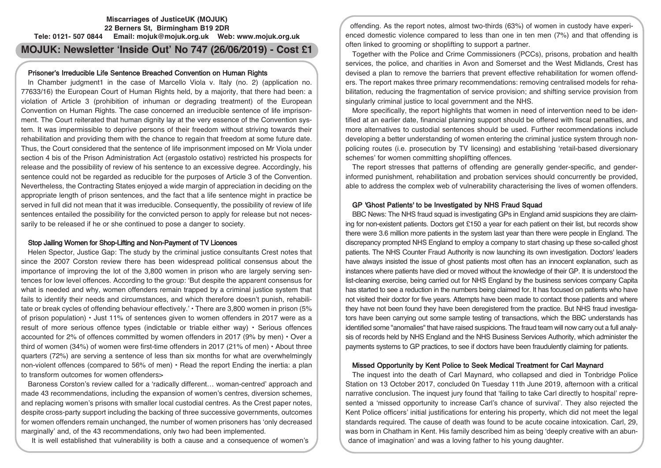# **Miscarriages of JusticeUK (MOJUK) 22 Berners St, Birmingham B19 2DR Tele: 0121- 507 0844 Email: mojuk@mojuk.org.uk Web: www.mojuk.org.uk**

# **MOJUK: Newsletter 'Inside Out' No 747 (26/06/2019) - Cost £1**

## Prisoner's Irreducible Life Sentence Breached Convention on Human Rights

In Chamber judgment1 in the case of Marcello Viola v. Italy (no. 2) (application no. 77633/16) the European Court of Human Rights held, by a majority, that there had been: a violation of Article 3 (prohibition of inhuman or degrading treatment) of the European Convention on Human Rights. The case concerned an irreducible sentence of life imprisonment. The Court reiterated that human dignity lay at the very essence of the Convention system. It was impermissible to deprive persons of their freedom without striving towards their rehabilitation and providing them with the chance to regain that freedom at some future date. Thus, the Court considered that the sentence of life imprisonment imposed on Mr Viola under section 4 bis of the Prison Administration Act (ergastolo ostativo) restricted his prospects for release and the possibility of review of his sentence to an excessive degree. Accordingly, his sentence could not be regarded as reducible for the purposes of Article 3 of the Convention. Nevertheless, the Contracting States enjoyed a wide margin of appreciation in deciding on the appropriate length of prison sentences, and the fact that a life sentence might in practice be served in full did not mean that it was irreducible. Consequently, the possibility of review of life sentences entailed the possibility for the convicted person to apply for release but not necessarily to be released if he or she continued to pose a danger to society.

# Stop Jailing Women for Shop-Lifting and Non-Payment of TV Licences

Helen Spector, Justice Gap: The study by the criminal justice consultants Crest notes that since the 2007 Corston review there has been widespread political consensus about the importance of improving the lot of the 3,800 women in prison who are largely serving sentences for low level offences. According to the group: 'But despite the apparent consensus for what is needed and why, women offenders remain trapped by a criminal justice system that fails to identify their needs and circumstances, and which therefore doesn't punish, rehabilitate or break cycles of offending behaviour effectively.' • There are 3,800 women in prison (5% of prison population) • Just 11% of sentences given to women offenders in 2017 were as a result of more serious offence types (indictable or triable either way) • Serious offences accounted for 2% of offences committed by women offenders in 2017 (9% by men) • Over a third of women (34%) of women were first-time offenders in 2017 (21% of men) • About three quarters (72%) are serving a sentence of less than six months for what are overwhelmingly non-violent offences (compared to 56% of men) • Read the report Ending the inertia: a plan to transform outcomes for women offenders>

Baroness Corston's review called for a 'radically different… woman-centred' approach and made 43 recommendations, including the expansion of women's centres, diversion schemes, and replacing women's prisons with smaller local custodial centres. As the Crest paper notes, despite cross-party support including the backing of three successive governments, outcomes for women offenders remain unchanged, the number of women prisoners has 'only decreased marginally' and, of the 43 recommendations, only two had been implemented.

It is well established that vulnerability is both a cause and a consequence of women's

offending. As the report notes, almost two-thirds (63%) of women in custody have experienced domestic violence compared to less than one in ten men (7%) and that offending is often linked to grooming or shoplifting to support a partner.

Together with the Police and Crime Commissioners (PCCs), prisons, probation and health services, the police, and charities in Avon and Somerset and the West Midlands, Crest has devised a plan to remove the barriers that prevent effective rehabilitation for women offenders. The report makes three primary recommendations: removing centralised models for rehabilitation, reducing the fragmentation of service provision; and shifting service provision from singularly criminal justice to local government and the NHS.

More specifically, the report highlights that women in need of intervention need to be identified at an earlier date, financial planning support should be offered with fiscal penalties, and more alternatives to custodial sentences should be used. Further recommendations include developing a better understanding of women entering the criminal justice system through nonpolicing routes (i.e. prosecution by TV licensing) and establishing 'retail-based diversionary schemes' for women committing shoplifting offences.

The report stresses that patterns of offending are generally gender-specific, and genderinformed punishment, rehabilitation and probation services should concurrently be provided, able to address the complex web of vulnerability characterising the lives of women offenders.

## GP 'Ghost Patients' to be Investigated by NHS Fraud Squad

BBC News: The NHS fraud squad is investigating GPs in England amid suspicions they are claiming for non-existent patients. Doctors get £150 a year for each patient on their list, but records show there were 3.6 million more patients in the system last year than there were people in England. The discrepancy prompted NHS England to employ a company to start chasing up these so-called ghost patients. The NHS Counter Fraud Authority is now launching its own investigation. Doctors' leaders have always insisted the issue of ghost patients most often has an innocent explanation, such as instances where patients have died or moved without the knowledge of their GP. It is understood the list-cleaning exercise, being carried out for NHS England by the business services company Capita has started to see a reduction in the numbers being claimed for. It has focused on patients who have not visited their doctor for five years. Attempts have been made to contact those patients and where they have not been found they have been deregistered from the practice. But NHS fraud investigators have been carrying out some sample testing of transactions, which the BBC understands has identified some "anomalies" that have raised suspicions. The fraud team will now carry out a full analysis of records held by NHS England and the NHS Business Services Authority, which administer the payments systems to GP practices, to see if doctors have been fraudulently claiming for patients.

## Missed Opportunity by Kent Police to Seek Medical Treatment for Carl Maynard

The inquest into the death of Carl Maynard, who collapsed and died in Tonbridge Police Station on 13 October 2017, concluded 0n Tuesday 11th June 2019, afternoon with a critical narrative conclusion. The inquest jury found that 'failing to take Carl directly to hospital' represented a 'missed opportunity to increase Carl's chance of survival'. They also rejected the Kent Police officers' initial justifications for entering his property, which did not meet the legal standards required. The cause of death was found to be acute cocaine intoxication. Carl, 29, was born in Chatham in Kent. His family described him as being 'deeply creative with an abundance of imagination' and was a loving father to his young daughter.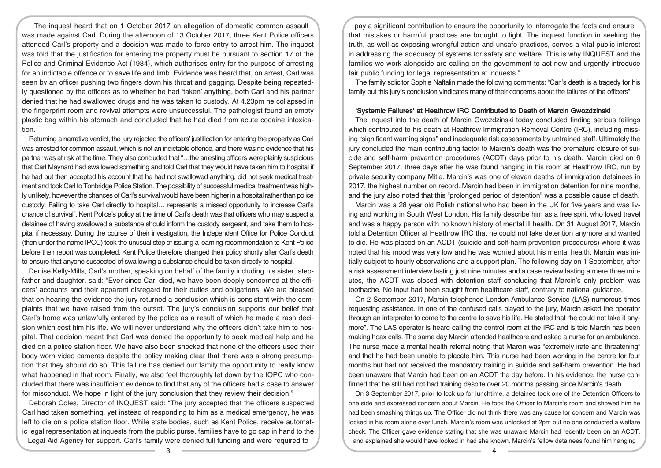The inquest heard that on 1 October 2017 an allegation of domestic common assault was made against Carl. During the afternoon of 13 October 2017, three Kent Police officers attended Carl's property and a decision was made to force entry to arrest him. The inquest was told that the justification for entering the property must be pursuant to section 17 of the Police and Criminal Evidence Act (1984), which authorises entry for the purpose of arresting for an indictable offence or to save life and limb. Evidence was heard that, on arrest, Carl was seen by an officer pushing two fingers down his throat and gagging. Despite being repeatedly questioned by the officers as to whether he had 'taken' anything, both Carl and his partner denied that he had swallowed drugs and he was taken to custody. At 4.23pm he collapsed in the fingerprint room and revival attempts were unsuccessful. The pathologist found an empty plastic bag within his stomach and concluded that he had died from acute cocaine intoxication.

Returning a narrative verdict, the jury rejected the officers' justification for entering the property as Carl was arrested for common assault, which is not an indictable offence, and there was no evidence that his partner was at risk at the time. They also concluded that "…the arresting officers were plainly suspicious that Carl Maynard had swallowed something and told Carl that they would have taken him to hospital if he had but then accepted his account that he had not swallowed anything, did not seek medical treatment and took Carl to Tonbridge Police Station. The possibility of successful medical treatment was highly unlikely, however the chances of Carl's survival would have been higher in a hospital rather than police custody. Failing to take Carl directly to hospital… represents a missed opportunity to increase Carl's chance of survival". Kent Police's policy at the time of Carl's death was that officers who may suspect a detainee of having swallowed a substance should inform the custody sergeant, and take them to hospital if necessary. During the course of their investigation, the Independent Office for Police Conduct (then under the name IPCC) took the unusual step of issuing a learning recommendation to Kent Police before their report was completed. Kent Police therefore changed their policy shortly after Carl's death to ensure that anyone suspected of swallowing a substance should be taken directly to hospital.

Denise Kelly-Mills, Carl's mother, speaking on behalf of the family including his sister, stepfather and daughter, said: "Ever since Carl died, we have been deeply concerned at the officers' accounts and their apparent disregard for their duties and obligations. We are pleased that on hearing the evidence the jury returned a conclusion which is consistent with the complaints that we have raised from the outset. The jury's conclusion supports our belief that Carl's home was unlawfully entered by the police as a result of which he made a rash decision which cost him his life. We will never understand why the officers didn't take him to hospital. That decision meant that Carl was denied the opportunity to seek medical help and he died on a police station floor. We have also been shocked that none of the officers used their body worn video cameras despite the policy making clear that there was a strong presumption that they should do so. This failure has denied our family the opportunity to really know what happened in that room. Finally, we also feel thoroughly let down by the IOPC who concluded that there was insufficient evidence to find that any of the officers had a case to answer for misconduct. We hope in light of the jury conclusion that they review their decision."

Deborah Coles, Director of INQUEST said: "The jury accepted that the officers suspected Carl had taken something, yet instead of responding to him as a medical emergency, he was left to die on a police station floor. While state bodies, such as Kent Police, receive automatic legal representation at inquests from the public purse, families have to go cap in hand to the Legal Aid Agency for support. Carl's family were denied full funding and were required to

pay a significant contribution to ensure the opportunity to interrogate the facts and ensure that mistakes or harmful practices are brought to light. The inquest function in seeking the truth, as well as exposing wrongful action and unsafe practices, serves a vital public interest in addressing the adequacy of systems for safety and welfare. This is why INQUEST and the families we work alongside are calling on the government to act now and urgently introduce fair public funding for legal representation at inquests."

The family solicitor Sophie Naftalin made the following comments: "Carl's death is a tragedy for his family but this jury's conclusion vindicates many of their concerns about the failures of the officers".

## 'Systemic Failures' at Heathrow IRC Contributed to Death of Marcin Gwozdzinski

The inquest into the death of Marcin Gwozdzinski today concluded finding serious failings which contributed to his death at Heathrow Immigration Removal Centre (IRC), including missing "significant warning signs" and inadequate risk assessments by untrained staff. Ultimately the jury concluded the main contributing factor to Marcin's death was the premature closure of suicide and self-harm prevention procedures (ACDT) days prior to his death. Marcin died on 6 September 2017, three days after he was found hanging in his room at Heathrow IRC, run by private security company Mitie. Marcin's was one of eleven deaths of immigration detainees in 2017, the highest number on record. Marcin had been in immigration detention for nine months, and the jury also noted that this "prolonged period of detention" was a possible cause of death.

Marcin was a 28 year old Polish national who had been in the UK for five years and was living and working in South West London. His family describe him as a free spirit who loved travel and was a happy person with no known history of mental ill health. On 31 August 2017, Marcin told a Detention Officer at Heathrow IRC that he could not take detention anymore and wanted to die. He was placed on an ACDT (suicide and self-harm prevention procedures) where it was noted that his mood was very low and he was worried about his mental health. Marcin was initially subject to hourly observations and a support plan. The following day on 1 September, after a risk assessment interview lasting just nine minutes and a case review lasting a mere three minutes, the ACDT was closed with detention staff concluding that Marcin's only problem was toothache. No input had been sought from healthcare staff, contrary to national guidance.

On 2 September 2017, Marcin telephoned London Ambulance Service (LAS) numerous times requesting assistance. In one of the confused calls played to the jury, Marcin asked the operator through an interpreter to come to the centre to save his life. He stated that "he could not take it anymore". The LAS operator is heard calling the control room at the IRC and is told Marcin has been making hoax calls. The same day Marcin attended healthcare and asked a nurse for an ambulance. The nurse made a mental health referral noting that Marcin was "extremely irate and threatening" and that he had been unable to placate him. This nurse had been working in the centre for four months but had not received the mandatory training in suicide and self-harm prevention. He had been unaware that Marcin had been on an ACDT the day before. In his evidence, the nurse confirmed that he still had not had training despite over 20 months passing since Marcin's death.

On 3 September 2017, prior to lock up for lunchtime, a detainee took one of the Detention Officers to one side and expressed concern about Marcin. He took the Officer to Marcin's room and showed him he had been smashing things up. The Officer did not think there was any cause for concern and Marcin was locked in his room alone over lunch. Marcin's room was unlocked at 2pm but no one conducted a welfare check. The Officer gave evidence stating that she was unaware Marcin had recently been on an ACDT, and explained she would have looked in had she known. Marcin's fellow detainees found him hanging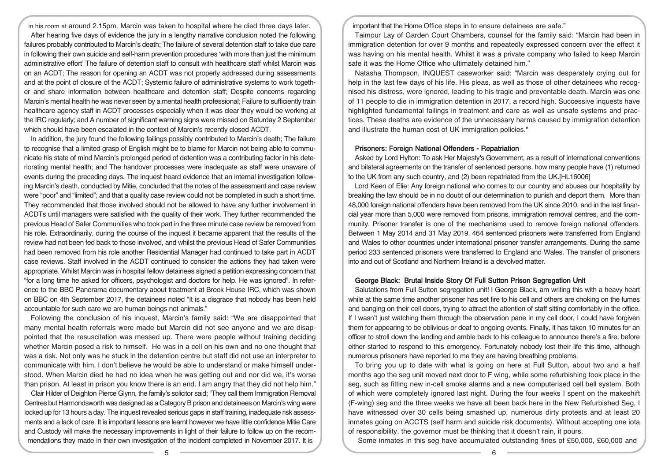in his room at around 2.15pm. Marcin was taken to hospital where he died three days later. After hearing five days of evidence the jury in a lengthy narrative conclusion noted the following failures probably contributed to Marcin's death; The failure of several detention staff to take due care in following their own suicide and self-harm prevention procedures 'with more than just the minimum administrative effort' The failure of detention staff to consult with healthcare staff whilst Marcin was on an ACDT; The reason for opening an ACDT was not properly addressed during assessments and at the point of closure of the ACDT; Systemic failure of administrative systems to work together and share information between healthcare and detention staff; Despite concerns regarding Marcin's mental health he was never seen by a mental health professional; Failure to sufficiently train healthcare agency staff in ACDT processes especially when it was clear they would be working at the IRC regularly; and A number of significant warning signs were missed on Saturday 2 September which should have been escalated in the context of Marcin's recently closed ACDT.

In addition, the jury found the following failings possibly contributed to Marcin's death; The failure to recognise that a limited grasp of English might be to blame for Marcin not being able to communicate his state of mind Marcin's prolonged period of detention was a contributing factor in his deteriorating mental health; and The handover processes were inadequate as staff were unaware of events during the preceding days. The inquest heard evidence that an internal investigation following Marcin's death, conducted by Mitie, concluded that the notes of the assessment and case review were "poor" and "limited"; and that a quality case review could not be completed in such a short time. They recommended that those involved should not be allowed to have any further involvement in ACDTs until managers were satisfied with the quality of their work. They further recommended the previous Head of Safer Communities who took part in the three minute case review be removed from his role. Extraordinarily, during the course of the inquest it became apparent that the results of the review had not been fed back to those involved, and whilst the previous Head of Safer Communities had been removed from his role another Residential Manager had continued to take part in ACDT case reviews. Staff involved in the ACDT continued to consider the actions they had taken were appropriate. Whilst Marcin was in hospital fellow detainees signed a petition expressing concern that "for a long time he asked for officers, psychologist and doctors for help. He was ignored". In reference to the BBC Panorama documentary about treatment at Brook House IRC, which was shown on BBC on 4th September 2017, the detainees noted "It is a disgrace that nobody has been held accountable for such care we are human beings not animals."

Following the conclusion of his inquest, Marcin's family said: "We are disappointed that many mental health referrals were made but Marcin did not see anyone and we are disappointed that the resuscitation was messed up. There were people without training deciding whether Marcin posed a risk to himself. He was in a cell on his own and no one thought that was a risk. Not only was he stuck in the detention centre but staff did not use an interpreter to communicate with him, I don't believe he would be able to understand or make himself understood. When Marcin died he had no idea when he was getting out and nor did we, it's worse than prison. At least in prison you know there is an end. I am angry that they did not help him."

Clair Hilder of Deighton Pierce Glynn, the family's solicitor said; "They call them Immigration Removal Centres but Harmondsworth was designed as a Category B prison and detainees on Marcin's wing were locked up for 13 hours a day. The inquest revealed serious gaps in staff training, inadequate risk assessments and a lack of care. It is important lessons are learnt however we have little confidence Mitie Care and Custody will make the necessary improvements in light of their failure to follow up on the recommendations they made in their own investigation of the incident completed in November 2017. It is

important that the Home Office steps in to ensure detainees are safe."

Taimour Lay of Garden Court Chambers, counsel for the family said: "Marcin had been in immigration detention for over 9 months and repeatedly expressed concern over the effect it was having on his mental health. Whilst it was a private company who failed to keep Marcin safe it was the Home Office who ultimately detained him."

Natasha Thompson, INQUEST caseworker said: "Marcin was desperately crying out for help in the last few days of his life. His pleas, as well as those of other detainees who recognised his distress, were ignored, leading to his tragic and preventable death. Marcin was one of 11 people to die in immigration detention in 2017, a record high. Successive inquests have highlighted fundamental failings in treatment and care as well as unsafe systems and practices. These deaths are evidence of the unnecessary harms caused by immigration detention and illustrate the human cost of UK immigration policies."

#### Prisoners: Foreign National Offenders - Repatriation

Asked by Lord Hylton: To ask Her Majesty's Government, as a result of international conventions and bilateral agreements on the transfer of sentenced persons, how many people have (1) returned to the UK from any such country, and (2) been repatriated from the UK.[HL16006]

Lord Keen of Elie: Any foreign national who comes to our country and abuses our hospitality by breaking the law should be in no doubt of our determination to punish and deport them. More than 48,000 foreign national offenders have been removed from the UK since 2010, and in the last financial year more than 5,000 were removed from prisons, immigration removal centres, and the community. Prisoner transfer is one of the mechanisms used to remove foreign national offenders. Between 1 May 2014 and 31 May 2019, 464 sentenced prisoners were transferred from England and Wales to other countries under international prisoner transfer arrangements. During the same period 233 sentenced prisoners were transferred to England and Wales. The transfer of prisoners into and out of Scotland and Northern Ireland is a devolved matter.

#### George Black: Brutal Inside Story Of Full Sutton Prison Segregation Unit

Salutations from Full Sutton segregation unit! I George Black, am writing this with a heavy heart while at the same time another prisoner has set fire to his cell and others are choking on the fumes and banging on their cell doors, trying to attract the attention of staff sitting comfortably in the office. If I wasn't just watching them through the observation pane in my cell door, I could have forgiven them for appearing to be oblivious or deaf to ongoing events. Finally, it has taken 10 minutes for an officer to stroll down the landing and amble back to his colleague to announce there's a fire, before either started to respond to this emergency. Fortunately nobody lost their life this time, although numerous prisoners have reported to me they are having breathing problems.

To bring you up to date with what is going on here at Full Sutton, about two and a half months ago the seg unit moved next door to F wing, while some refurbishing took place in the seg, such as fitting new in-cell smoke alarms and a new computerised cell bell system. Both of which were completely ignored last night. During the four weeks I spent on the makeshift (F-wing) seg and the three weeks we have all been back here in the New Refurbished Seg, I have witnessed over 30 cells being smashed up, numerous dirty protests and at least 20 inmates going on ACCTS (self harm and suicide risk documents). Without accepting one iota of responsibility, the governor must be thinking that it doesn't rain, it pours.

Some inmates in this seg have accumulated outstanding fines of £50,000, £60,000 and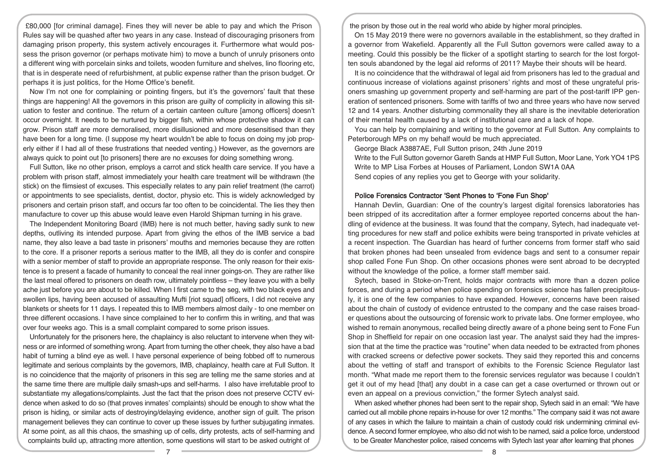£80,000 [for criminal damage]. Fines they will never be able to pay and which the Prison Rules say will be quashed after two years in any case. Instead of discouraging prisoners from damaging prison property, this system actively encourages it. Furthermore what would possess the prison governor (or perhaps motivate him) to move a bunch of unruly prisoners onto a different wing with porcelain sinks and toilets, wooden furniture and shelves, lino flooring etc, that is in desperate need of refurbishment, at public expense rather than the prison budget. Or perhaps it is just politics, for the Home Office's benefit.

Now I'm not one for complaining or pointing fingers, but it's the governors' fault that these things are happening! All the governors in this prison are guilty of complicity in allowing this situation to fester and continue. The return of a certain canteen culture [among officers] doesn't occur overnight. It needs to be nurtured by bigger fish, within whose protective shadow it can grow. Prison staff are more demoralised, more disillusioned and more desensitised than they have been for a long time. (I suppose my heart wouldn't be able to focus on doing my job properly either if I had all of these frustrations that needed venting.) However, as the governors are always quick to point out [to prisoners] there are no excuses for doing something wrong.

Full Sutton, like no other prison, employs a carrot and stick health care service. If you have a problem with prison staff, almost immediately your health care treatment will be withdrawn (the stick) on the flimsiest of excuses. This especially relates to any pain relief treatment (the carrot) or appointments to see specialists, dentist, doctor, physio etc. This is widely acknowledged by prisoners and certain prison staff, and occurs far too often to be coincidental. The lies they then manufacture to cover up this abuse would leave even Harold Shipman turning in his grave.

The Independent Monitoring Board (IMB) here is not much better, having sadly sunk to new depths, outliving its intended purpose. Apart from giving the ethos of the IMB service a bad name, they also leave a bad taste in prisoners' mouths and memories because they are rotten to the core. If a prisoner reports a serious matter to the IMB, all they do is confer and conspire with a senior member of staff to provide an appropriate response. The only reason for their existence is to present a facade of humanity to conceal the real inner goings-on. They are rather like the last meal offered to prisoners on death row, ultimately pointless – they leave you with a belly ache just before you are about to be killed. When I first came to the seg, with two black eyes and swollen lips, having been accused of assaulting Mufti [riot squad] officers, I did not receive any blankets or sheets for 11 days. I repeated this to IMB members almost daily - to one member on three different occasions. I have since complained to her to confirm this in writing, and that was over four weeks ago. This is a small complaint compared to some prison issues.

Unfortunately for the prisoners here, the chaplaincy is also reluctant to intervene when they witness or are informed of something wrong. Apart from turning the other cheek, they also have a bad habit of turning a blind eye as well. I have personal experience of being fobbed off to numerous legitimate and serious complaints by the governors, IMB, chaplaincy, health care at Full Sutton. It is no coincidence that the majority of prisoners in this seg are telling me the same stories and at the same time there are multiple daily smash-ups and self-harms. I also have irrefutable proof to substantiate my allegations/complaints. Just the fact that the prison does not preserve CCTV evidence when asked to do so (that proves inmates' complaints) should be enough to show what the prison is hiding, or similar acts of destroying/delaying evidence, another sign of guilt. The prison management believes they can continue to cover up these issues by further subjugating inmates. At some point, as all this chaos, the smashing up of cells, dirty protests, acts of self-harming and complaints build up, attracting more attention, some questions will start to be asked outright of

the prison by those out in the real world who abide by higher moral principles.

On 15 May 2019 there were no governors available in the establishment, so they drafted in a governor from Wakefield. Apparently all the Full Sutton governors were called away to a meeting. Could this possibly be the flicker of a spotlight starting to search for the lost forgotten souls abandoned by the legal aid reforms of 2011? Maybe their shouts will be heard.

It is no coincidence that the withdrawal of legal aid from prisoners has led to the gradual and continuous increase of violations against prisoners' rights and most of these ungrateful prisoners smashing up government property and self-harming are part of the post-tariff IPP generation of sentenced prisoners. Some with tariffs of two and three years who have now served 12 and 14 years. Another disturbing commonality they all share is the inevitable deterioration of their mental health caused by a lack of institutional care and a lack of hope.

You can help by complaining and writing to the governor at Full Sutton. Any complaints to Peterborough MPs on my behalf would be much appreciated.

George Black A3887AE, Full Sutton prison, 24th June 2019

Write to the Full Sutton governor Gareth Sands at HMP Full Sutton, Moor Lane, York YO4 1PS Write to MP Lisa Forbes at Houses of Parliament, London SW1A 0AA Send copies of any replies you get to George with your solidarity.

## Police Forensics Contractor 'Sent Phones to 'Fone Fun Shop'

Hannah Devlin, Guardian: One of the country's largest digital forensics laboratories has been stripped of its accreditation after a former employee reported concerns about the handling of evidence at the business. It was found that the company, Sytech, had inadequate vetting procedures for new staff and police exhibits were being transported in private vehicles at a recent inspection. The Guardian has heard of further concerns from former staff who said that broken phones had been unsealed from evidence bags and sent to a consumer repair shop called Fone Fun Shop. On other occasions phones were sent abroad to be decrypted without the knowledge of the police, a former staff member said.

Sytech, based in Stoke-on-Trent, holds major contracts with more than a dozen police forces, and during a period when police spending on forensics science has fallen precipitously, it is one of the few companies to have expanded. However, concerns have been raised about the chain of custody of evidence entrusted to the company and the case raises broader questions about the outsourcing of forensic work to private labs. One former employee, who wished to remain anonymous, recalled being directly aware of a phone being sent to Fone Fun Shop in Sheffield for repair on one occasion last year. The analyst said they had the impression that at the time the practice was "routine" when data needed to be extracted from phones with cracked screens or defective power sockets. They said they reported this and concerns about the vetting of staff and transport of exhibits to the Forensic Science Regulator last month. "What made me report them to the forensic services regulator was because I couldn't get it out of my head [that] any doubt in a case can get a case overturned or thrown out or even an appeal on a previous conviction," the former Sytech analyst said.

When asked whether phones had been sent to the repair shop, Sytech said in an email: "We have carried out all mobile phone repairs in-house for over 12 months." The company said it was not aware of any cases in which the failure to maintain a chain of custody could risk undermining criminal evidence. A second former employee, who also did not wish to be named, said a police force, understood to be Greater Manchester police, raised concerns with Sytech last year after learning that phones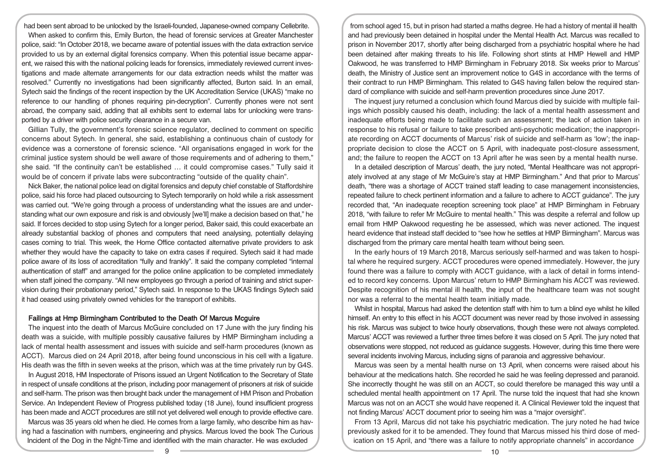had been sent abroad to be unlocked by the Israeli-founded, Japanese-owned company Cellebrite. When asked to confirm this, Emily Burton, the head of forensic services at Greater Manchester police, said: "In October 2018, we became aware of potential issues with the data extraction service provided to us by an external digital forensics company. When this potential issue became apparent, we raised this with the national policing leads for forensics, immediately reviewed current investigations and made alternate arrangements for our data extraction needs whilst the matter was resolved." Currently no investigations had been significantly affected, Burton said. In an email, Sytech said the findings of the recent inspection by the UK Accreditation Service (UKAS) "make no reference to our handling of phones requiring pin-decryption". Currently phones were not sent abroad, the company said, adding that all exhibits sent to external labs for unlocking were transported by a driver with police security clearance in a secure van.

Gillian Tully, the government's forensic science regulator, declined to comment on specific concerns about Sytech. In general, she said, establishing a continuous chain of custody for evidence was a cornerstone of forensic science. "All organisations engaged in work for the criminal justice system should be well aware of those requirements and of adhering to them," she said. "If the continuity can't be established … it could compromise cases." Tully said it would be of concern if private labs were subcontracting "outside of the quality chain".

Nick Baker, the national police lead on digital forensics and deputy chief constable of Staffordshire police, said his force had placed outsourcing to Sytech temporarily on hold while a risk assessment was carried out. "We're going through a process of understanding what the issues are and understanding what our own exposure and risk is and obviously [we'll] make a decision based on that," he said. If forces decided to stop using Sytech for a longer period, Baker said, this could exacerbate an already substantial backlog of phones and computers that need analysing, potentially delaying cases coming to trial. This week, the Home Office contacted alternative private providers to ask whether they would have the capacity to take on extra cases if required. Sytech said it had made police aware of its loss of accreditation "fully and frankly". It said the company completed "internal authentication of staff" and arranged for the police online application to be completed immediately when staff joined the company. "All new employees go through a period of training and strict supervision during their probationary period," Sytech said. In response to the UKAS findings Sytech said it had ceased using privately owned vehicles for the transport of exhibits.

#### Failings at Hmp Birmingham Contributed to the Death Of Marcus Mcguire

The inquest into the death of Marcus McGuire concluded on 17 June with the jury finding his death was a suicide, with multiple possibly causative failures by HMP Birmingham including a lack of mental health assessment and issues with suicide and self-harm procedures (known as ACCT). Marcus died on 24 April 2018, after being found unconscious in his cell with a ligature. His death was the fifth in seven weeks at the prison, which was at the time privately run by G4S.

In August 2018, HM Inspectorate of Prisons issued an Urgent Notification to the Secretary of State in respect of unsafe conditions at the prison, including poor management of prisoners at risk of suicide and self-harm. The prison was then brought back under the management of HM Prison and Probation Service. An Independent Review of Progress published today (18 June), found insufficient progress has been made and ACCT procedures are still not yet delivered well enough to provide effective care.

Marcus was 35 years old when he died. He comes from a large family, who describe him as having had a fascination with numbers, engineering and physics. Marcus loved the book The Curious Incident of the Dog in the Night-Time and identified with the main character. He was excluded

from school aged 15, but in prison had started a maths degree. He had a history of mental ill health and had previously been detained in hospital under the Mental Health Act. Marcus was recalled to prison in November 2017, shortly after being discharged from a psychiatric hospital where he had been detained after making threats to his life. Following short stints at HMP Hewell and HMP Oakwood, he was transferred to HMP Birmingham in February 2018. Six weeks prior to Marcus' death, the Ministry of Justice sent an improvement notice to G4S in accordance with the terms of their contract to run HMP Birmingham. This related to G4S having fallen below the required standard of compliance with suicide and self-harm prevention procedures since June 2017.

The inquest jury returned a conclusion which found Marcus died by suicide with multiple failings which possibly caused his death, including: the lack of a mental health assessment and inadequate efforts being made to facilitate such an assessment; the lack of action taken in response to his refusal or failure to take prescribed anti-psychotic medication; the inappropriate recording on ACCT documents of Marcus' risk of suicide and self-harm as 'low'; the inappropriate decision to close the ACCT on 5 April, with inadequate post-closure assessment, and; the failure to reopen the ACCT on 13 April after he was seen by a mental health nurse.

In a detailed description of Marcus' death, the jury noted, "Mental Healthcare was not appropriately involved at any stage of Mr McGuire's stay at HMP Birmingham." And that prior to Marcus' death, "there was a shortage of ACCT trained staff leading to case management inconsistencies, repeated failure to check pertinent information and a failure to adhere to ACCT guidance". The jury recorded that, "An inadequate reception screening took place" at HMP Birmingham in February 2018, "with failure to refer Mr McGuire to mental health." This was despite a referral and follow up email from HMP Oakwood requesting he be assessed, which was never actioned. The inquest heard evidence that instead staff decided to "see how he settles at HMP Birmingham". Marcus was discharged from the primary care mental health team without being seen.

In the early hours of 19 March 2018, Marcus seriously self-harmed and was taken to hospital where he required surgery. ACCT procedures were opened immediately. However, the jury found there was a failure to comply with ACCT guidance, with a lack of detail in forms intended to record key concerns. Upon Marcus' return to HMP Birmingham his ACCT was reviewed. Despite recognition of his mental ill health, the input of the healthcare team was not sought nor was a referral to the mental health team initially made.

Whilst in hospital, Marcus had asked the detention staff with him to turn a blind eye whilst he killed himself. An entry to this effect in his ACCT document was never read by those involved in assessing his risk. Marcus was subject to twice hourly observations, though these were not always completed. Marcus' ACCT was reviewed a further three times before it was closed on 5 April. The jury noted that observations were stopped, not reduced as guidance suggests. However, during this time there were several incidents involving Marcus, including signs of paranoia and aggressive behaviour.

Marcus was seen by a mental health nurse on 13 April, when concerns were raised about his behaviour at the medications hatch. She recorded he said he was feeling depressed and paranoid. She incorrectly thought he was still on an ACCT, so could therefore be managed this way until a scheduled mental health appointment on 17 April. The nurse told the inquest that had she known Marcus was not on an ACCT she would have reopened it. A Clinical Reviewer told the inquest that not finding Marcus' ACCT document prior to seeing him was a "major oversight".

From 13 April, Marcus did not take his psychiatric medication. The jury noted he had twice previously asked for it to be amended. They found that Marcus missed his third dose of medication on 15 April, and "there was a failure to notify appropriate channels" in accordance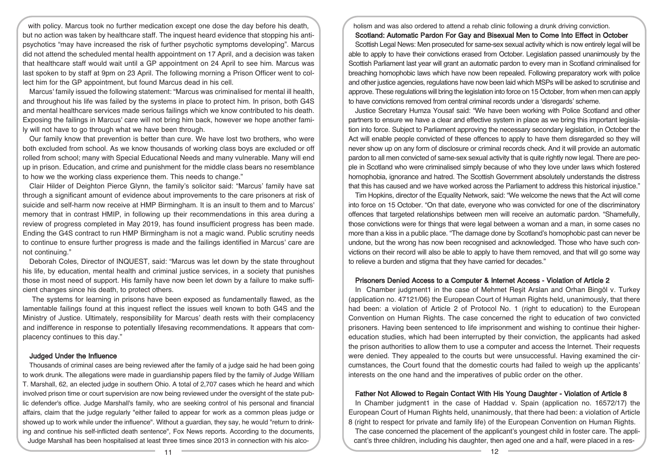with policy. Marcus took no further medication except one dose the day before his death, but no action was taken by healthcare staff. The inquest heard evidence that stopping his antipsychotics "may have increased the risk of further psychotic symptoms developing". Marcus did not attend the scheduled mental health appointment on 17 April, and a decision was taken that healthcare staff would wait until a GP appointment on 24 April to see him. Marcus was last spoken to by staff at 9pm on 23 April. The following morning a Prison Officer went to collect him for the GP appointment, but found Marcus dead in his cell.

Marcus' family issued the following statement: "Marcus was criminalised for mental ill health, and throughout his life was failed by the systems in place to protect him. In prison, both G4S and mental healthcare services made serious failings which we know contributed to his death. Exposing the failings in Marcus' care will not bring him back, however we hope another family will not have to go through what we have been through.

Our family know that prevention is better than cure. We have lost two brothers, who were both excluded from school. As we know thousands of working class boys are excluded or off rolled from school; many with Special Educational Needs and many vulnerable. Many will end up in prison. Education, and crime and punishment for the middle class bears no resemblance to how we the working class experience them. This needs to change."

Clair Hilder of Deighton Pierce Glynn, the family's solicitor said: "Marcus' family have sat through a significant amount of evidence about improvements to the care prisoners at risk of suicide and self-harm now receive at HMP Birmingham. It is an insult to them and to Marcus' memory that in contrast HMIP, in following up their recommendations in this area during a review of progress completed in May 2019, has found insufficient progress has been made. Ending the G4S contract to run HMP Birmingham is not a magic wand. Public scrutiny needs to continue to ensure further progress is made and the failings identified in Marcus' care are not continuing."

Deborah Coles, Director of INQUEST, said: "Marcus was let down by the state throughout his life, by education, mental health and criminal justice services, in a society that punishes those in most need of support. His family have now been let down by a failure to make sufficient changes since his death, to protect others.

The systems for learning in prisons have been exposed as fundamentally flawed, as the lamentable failings found at this inquest reflect the issues well known to both G4S and the Ministry of Justice. Ultimately, responsibility for Marcus' death rests with their complacency and indifference in response to potentially lifesaving recommendations. It appears that complacency continues to this day."

## Judged Under the Influence

Thousands of criminal cases are being reviewed after the family of a judge said he had been going to work drunk. The allegations were made in guardianship papers filed by the family of Judge William T. Marshall, 62, an elected judge in southern Ohio. A total of 2,707 cases which he heard and which involved prison time or court supervision are now being reviewed under the oversight of the state public defender's office. Judge Marshall's family, who are seeking control of his personal and financial affairs, claim that the judge regularly "either failed to appear for work as a common pleas judge or showed up to work while under the influence". Without a guardian, they say, he would "return to drinking and continue his self-inflicted death sentence", Fox News reports. According to the documents, Judge Marshall has been hospitalised at least three times since 2013 in connection with his alcoholism and was also ordered to attend a rehab clinic following a drunk driving conviction.

#### Scotland: Automatic Pardon For Gay and Bisexual Men to Come Into Effect in October

Scottish Legal News: Men prosecuted for same-sex sexual activity which is now entirely legal will be able to apply to have their convictions erased from October. Legislation passed unanimously by the Scottish Parliament last year will grant an automatic pardon to every man in Scotland criminalised for breaching homophobic laws which have now been repealed. Following preparatory work with police and other justice agencies, regulations have now been laid which MSPs will be asked to scrutinise and approve. These regulations will bring the legislation into force on 15 October, from when men can apply to have convictions removed from central criminal records under a 'disregards' scheme.

Justice Secretary Humza Yousaf said: "We have been working with Police Scotland and other partners to ensure we have a clear and effective system in place as we bring this important legislation into force. Subject to Parliament approving the necessary secondary legislation, in October the Act will enable people convicted of these offences to apply to have them disregarded so they will never show up on any form of disclosure or criminal records check. And it will provide an automatic pardon to all men convicted of same-sex sexual activity that is quite rightly now legal. There are people in Scotland who were criminalised simply because of who they love under laws which fostered homophobia, ignorance and hatred. The Scottish Government absolutely understands the distress that this has caused and we have worked across the Parliament to address this historical injustice."

Tim Hopkins, director of the Equality Network, said: "We welcome the news that the Act will come into force on 15 October. "On that date, everyone who was convicted for one of the discriminatory offences that targeted relationships between men will receive an automatic pardon. "Shamefully, those convictions were for things that were legal between a woman and a man, in some cases no more than a kiss in a public place. "The damage done by Scotland's homophobic past can never be undone, but the wrong has now been recognised and acknowledged. Those who have such convictions on their record will also be able to apply to have them removed, and that will go some way to relieve a burden and stigma that they have carried for decades."

#### Prisoners Denied Access to a Computer & Internet Access - Violation of Article 2

In Chamber judgment1 in the case of Mehmet Reşit Arslan and Orhan Bingöl v. Turkey (application no. 47121/06) the European Court of Human Rights held, unanimously, that there had been: a violation of Article 2 of Protocol No. 1 (right to education) to the European Convention on Human Rights. The case concerned the right to education of two convicted prisoners. Having been sentenced to life imprisonment and wishing to continue their highereducation studies, which had been interrupted by their conviction, the applicants had asked the prison authorities to allow them to use a computer and access the Internet. Their requests were denied. They appealed to the courts but were unsuccessful. Having examined the circumstances, the Court found that the domestic courts had failed to weigh up the applicants' interests on the one hand and the imperatives of public order on the other.

# Father Not Allowed to Regain Contact With His Young Daughter - Violation of Article 8

In Chamber judgment1 in the case of Haddad v. Spain (application no. 16572/17) the European Court of Human Rights held, unanimously, that there had been: a violation of Article 8 (right to respect for private and family life) of the European Convention on Human Rights. The case concerned the placement of the applicant's youngest child in foster care. The applicant's three children, including his daughter, then aged one and a half, were placed in a res-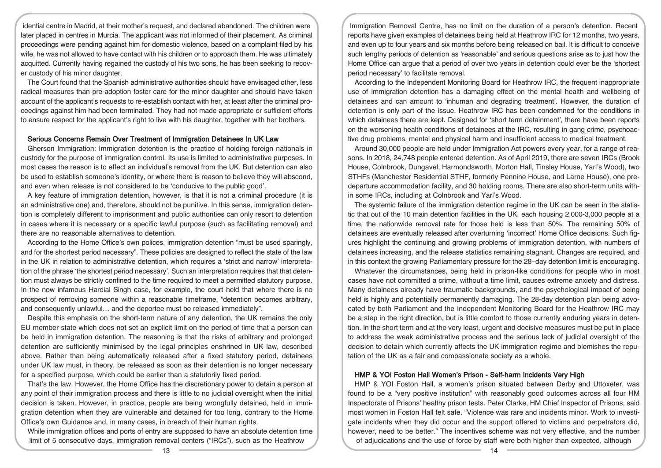idential centre in Madrid, at their mother's request, and declared abandoned. The children were later placed in centres in Murcia. The applicant was not informed of their placement. As criminal proceedings were pending against him for domestic violence, based on a complaint filed by his wife, he was not allowed to have contact with his children or to approach them. He was ultimately acquitted. Currently having regained the custody of his two sons, he has been seeking to recover custody of his minor daughter.

The Court found that the Spanish administrative authorities should have envisaged other, less radical measures than pre-adoption foster care for the minor daughter and should have taken account of the applicant's requests to re-establish contact with her, at least after the criminal proceedings against him had been terminated. They had not made appropriate or sufficient efforts to ensure respect for the applicant's right to live with his daughter, together with her brothers.

## Serious Concerns Remain Over Treatment of Immigration Detainees In UK Law

Gherson Immigration: Immigration detention is the practice of holding foreign nationals in custody for the purpose of immigration control. Its use is limited to administrative purposes. In most cases the reason is to effect an individual's removal from the UK. But detention can also be used to establish someone's identity, or where there is reason to believe they will abscond, and even when release is not considered to be 'conducive to the public good'.

A key feature of immigration detention, however, is that it is not a criminal procedure (it is an administrative one) and, therefore, should not be punitive. In this sense, immigration detention is completely different to imprisonment and public authorities can only resort to detention in cases where it is necessary or a specific lawful purpose (such as facilitating removal) and there are no reasonable alternatives to detention.

According to the Home Office's own polices, immigration detention "must be used sparingly, and for the shortest period necessary". These policies are designed to reflect the state of the law in the UK in relation to administrative detention, which requires a 'strict and narrow' interpretation of the phrase 'the shortest period necessary'. Such an interpretation requires that that detention must always be strictly confined to the time required to meet a permitted statutory purpose. In the now infamous Hardial Singh case, for example, the court held that where there is no prospect of removing someone within a reasonable timeframe, "detention becomes arbitrary, and consequently unlawful… and the deportee must be released immediately".

Despite this emphasis on the short-term nature of any detention, the UK remains the only EU member state which does not set an explicit limit on the period of time that a person can be held in immigration detention. The reasoning is that the risks of arbitrary and prolonged detention are sufficiently minimised by the legal principles enshrined in UK law, described above. Rather than being automatically released after a fixed statutory period, detainees under UK law must, in theory, be released as soon as their detention is no longer necessary for a specified purpose, which could be earlier than a statutorily fixed period.

That's the law. However, the Home Office has the discretionary power to detain a person at any point of their immigration process and there is little to no judicial oversight when the initial decision is taken. However, in practice, people are being wrongfully detained, held in immigration detention when they are vulnerable and detained for too long, contrary to the Home Office's own Guidance and, in many cases, in breach of their human rights.

While immigration offices and ports of entry are supposed to have an absolute detention time limit of 5 consecutive days, immigration removal centers ("IRCs"), such as the Heathrow

Immigration Removal Centre, has no limit on the duration of a person's detention. Recent reports have given examples of detainees being held at Heathrow IRC for 12 months, two years, and even up to four years and six months before being released on bail. It is difficult to conceive such lengthy periods of detention as 'reasonable' and serious questions arise as to just how the Home Office can argue that a period of over two years in detention could ever be the 'shortest period necessary' to facilitate removal.

According to the Independent Monitoring Board for Heathrow IRC, the frequent inappropriate use of immigration detention has a damaging effect on the mental health and wellbeing of detainees and can amount to 'inhuman and degrading treatment'. However, the duration of detention is only part of the issue. Heathrow IRC has been condemned for the conditions in which detainees there are kept. Designed for 'short term detainment', there have been reports on the worsening health conditions of detainees at the IRC, resulting in gang crime, psychoactive drug problems, mental and physical harm and insufficient access to medical treatment.

Around 30,000 people are held under Immigration Act powers every year, for a range of reasons. In 2018, 24,748 people entered detention. As of April 2019, there are seven IRCs (Brook House, Colnbrook, Dungavel, Harmondsworth, Morton Hall, Tinsley House, Yarl's Wood), two STHFs (Manchester Residential STHF, formerly Pennine House, and Larne House), one predeparture accommodation facility, and 30 holding rooms. There are also short-term units within some IRCs, including at Colnbrook and Yarl's Wood.

The systemic failure of the immigration detention regime in the UK can be seen in the statistic that out of the 10 main detention facilities in the UK, each housing 2,000-3,000 people at a time, the nationwide removal rate for those held is less than 50%. The remaining 50% of detainees are eventually released after overturning 'incorrect' Home Office decisions. Such figures highlight the continuing and growing problems of immigration detention, with numbers of detainees increasing, and the release statistics remaining stagnant. Changes are required, and in this context the growing Parliamentary pressure for the 28–day detention limit is encouraging.

Whatever the circumstances, being held in prison-like conditions for people who in most cases have not committed a crime, without a time limit, causes extreme anxiety and distress. Many detainees already have traumatic backgrounds, and the psychological impact of being held is highly and potentially permanently damaging. The 28-day detention plan being advocated by both Parliament and the Independent Monitoring Board for the Heathrow IRC may be a step in the right direction, but is little comfort to those currently enduring years in detention. In the short term and at the very least, urgent and decisive measures must be put in place to address the weak administrative process and the serious lack of judicial oversight of the decision to detain which currently affects the UK immigration regime and blemishes the reputation of the UK as a fair and compassionate society as a whole.

#### HMP & YOI Foston Hall Women's Prison - Self-harm Incidents Very High

HMP & YOI Foston Hall, a women's prison situated between Derby and Uttoxeter, was found to be a "very positive institution" with reasonably good outcomes across all four HM Inspectorate of Prisons' healthy prison tests. Peter Clarke, HM Chief Inspector of Prisons, said most women in Foston Hall felt safe. "Violence was rare and incidents minor. Work to investigate incidents when they did occur and the support offered to victims and perpetrators did, however, need to be better." The incentives scheme was not very effective, and the number of adjudications and the use of force by staff were both higher than expected, although